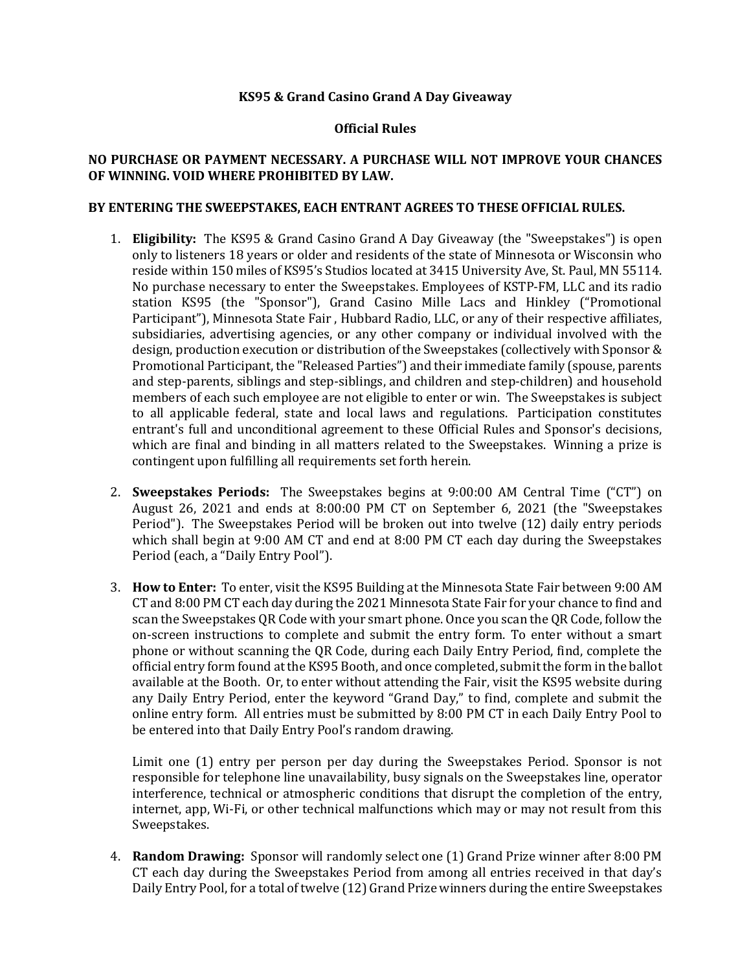## **KS95 & Grand Casino Grand A Day Giveaway**

## **Official Rules**

## **NO PURCHASE OR PAYMENT NECESSARY. A PURCHASE WILL NOT IMPROVE YOUR CHANCES OF WINNING. VOID WHERE PROHIBITED BY LAW.**

## **BY ENTERING THE SWEEPSTAKES, EACH ENTRANT AGREES TO THESE OFFICIAL RULES.**

- 1. **Eligibility:** The KS95 & Grand Casino Grand A Day Giveaway (the "Sweepstakes") is open only to listeners 18 years or older and residents of the state of Minnesota or Wisconsin who reside within 150 miles of KS95's Studios located at 3415 University Ave, St. Paul, MN 55114. No purchase necessary to enter the Sweepstakes. Employees of KSTP-FM, LLC and its radio station KS95 (the "Sponsor"), Grand Casino Mille Lacs and Hinkley ("Promotional Participant"), Minnesota State Fair , Hubbard Radio, LLC, or any of their respective affiliates, subsidiaries, advertising agencies, or any other company or individual involved with the design, production execution or distribution of the Sweepstakes (collectively with Sponsor & Promotional Participant, the "Released Parties") and their immediate family (spouse, parents and step-parents, siblings and step-siblings, and children and step-children) and household members of each such employee are not eligible to enter or win. The Sweepstakes is subject to all applicable federal, state and local laws and regulations. Participation constitutes entrant's full and unconditional agreement to these Official Rules and Sponsor's decisions, which are final and binding in all matters related to the Sweepstakes. Winning a prize is contingent upon fulfilling all requirements set forth herein.
- 2. **Sweepstakes Periods:** The Sweepstakes begins at 9:00:00 AM Central Time ("CT") on August 26, 2021 and ends at 8:00:00 PM CT on September 6, 2021 (the "Sweepstakes Period"). The Sweepstakes Period will be broken out into twelve (12) daily entry periods which shall begin at 9:00 AM CT and end at 8:00 PM CT each day during the Sweepstakes Period (each, a "Daily Entry Pool").
- 3. **How to Enter:** To enter, visit the KS95 Building at the Minnesota State Fair between 9:00 AM CT and 8:00 PM CT each day during the 2021 Minnesota State Fair for your chance to find and scan the Sweepstakes QR Code with your smart phone. Once you scan the QR Code, follow the on-screen instructions to complete and submit the entry form. To enter without a smart phone or without scanning the QR Code, during each Daily Entry Period, find, complete the official entry form found at the KS95 Booth, and once completed, submit the form in the ballot available at the Booth. Or, to enter without attending the Fair, visit the KS95 website during any Daily Entry Period, enter the keyword "Grand Day," to find, complete and submit the online entry form. All entries must be submitted by 8:00 PM CT in each Daily Entry Pool to be entered into that Daily Entry Pool's random drawing.

Limit one (1) entry per person per day during the Sweepstakes Period. Sponsor is not responsible for telephone line unavailability, busy signals on the Sweepstakes line, operator interference, technical or atmospheric conditions that disrupt the completion of the entry, internet, app, Wi-Fi, or other technical malfunctions which may or may not result from this Sweepstakes.

4. **Random Drawing:** Sponsor will randomly select one (1) Grand Prize winner after 8:00 PM CT each day during the Sweepstakes Period from among all entries received in that day's Daily Entry Pool, for a total of twelve (12) Grand Prize winners during the entire Sweepstakes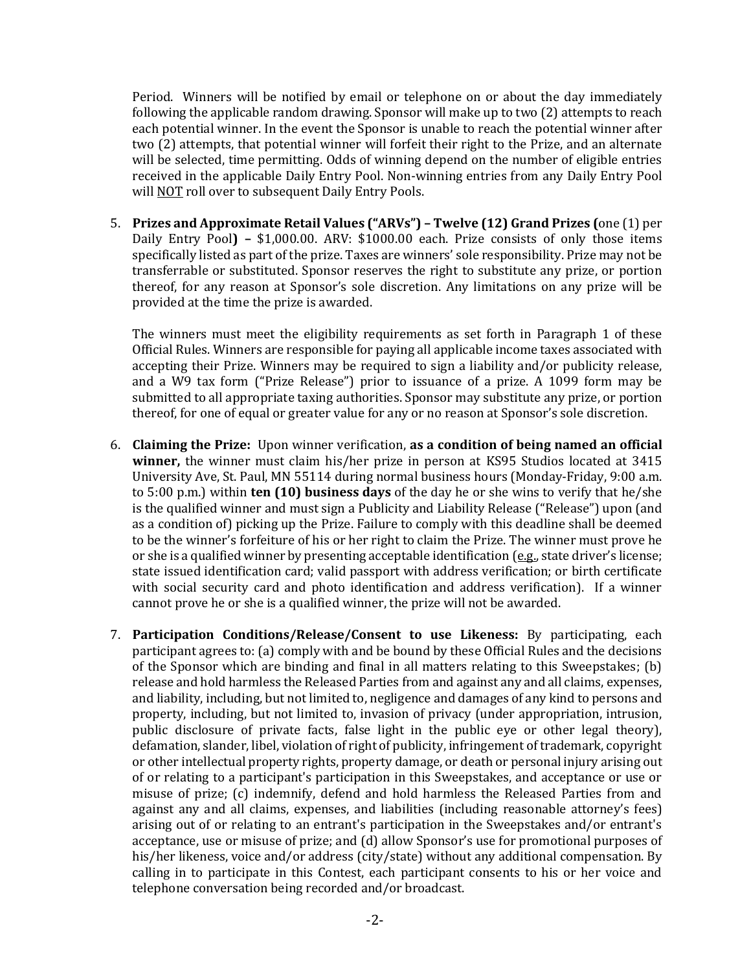Period. Winners will be notified by email or telephone on or about the day immediately following the applicable random drawing. Sponsor will make up to two (2) attempts to reach each potential winner. In the event the Sponsor is unable to reach the potential winner after two (2) attempts, that potential winner will forfeit their right to the Prize, and an alternate will be selected, time permitting. Odds of winning depend on the number of eligible entries received in the applicable Daily Entry Pool. Non-winning entries from any Daily Entry Pool will NOT roll over to subsequent Daily Entry Pools.

5. **Prizes and Approximate Retail Values ("ARVs") – Twelve (12) Grand Prizes (**one (1) per Daily Entry Pool**) –** \$1,000.00. ARV: \$1000.00 each. Prize consists of only those items specifically listed as part of the prize. Taxes are winners' sole responsibility. Prize may not be transferrable or substituted. Sponsor reserves the right to substitute any prize, or portion thereof, for any reason at Sponsor's sole discretion. Any limitations on any prize will be provided at the time the prize is awarded.

The winners must meet the eligibility requirements as set forth in Paragraph 1 of these Official Rules. Winners are responsible for paying all applicable income taxes associated with accepting their Prize. Winners may be required to sign a liability and/or publicity release, and a W9 tax form ("Prize Release") prior to issuance of a prize. A 1099 form may be submitted to all appropriate taxing authorities. Sponsor may substitute any prize, or portion thereof, for one of equal or greater value for any or no reason at Sponsor's sole discretion.

- 6. **Claiming the Prize:** Upon winner verification, **as a condition of being named an official winner,** the winner must claim his/her prize in person at KS95 Studios located at 3415 University Ave, St. Paul, MN 55114 during normal business hours (Monday-Friday, 9:00 a.m. to 5:00 p.m.) within **ten (10) business days** of the day he or she wins to verify that he/she is the qualified winner and must sign a Publicity and Liability Release ("Release") upon (and as a condition of) picking up the Prize. Failure to comply with this deadline shall be deemed to be the winner's forfeiture of his or her right to claim the Prize. The winner must prove he or she is a qualified winner by presenting acceptable identification ( $e.g.,$  state driver's license; state issued identification card; valid passport with address verification; or birth certificate with social security card and photo identification and address verification). If a winner cannot prove he or she is a qualified winner, the prize will not be awarded.
- 7. **Participation Conditions/Release/Consent to use Likeness:** By participating, each participant agrees to: (a) comply with and be bound by these Official Rules and the decisions of the Sponsor which are binding and final in all matters relating to this Sweepstakes; (b) release and hold harmless the Released Parties from and against any and all claims, expenses, and liability, including, but not limited to, negligence and damages of any kind to persons and property, including, but not limited to, invasion of privacy (under appropriation, intrusion, public disclosure of private facts, false light in the public eye or other legal theory), defamation, slander, libel, violation of right of publicity, infringement of trademark, copyright or other intellectual property rights, property damage, or death or personal injury arising out of or relating to a participant's participation in this Sweepstakes, and acceptance or use or misuse of prize; (c) indemnify, defend and hold harmless the Released Parties from and against any and all claims, expenses, and liabilities (including reasonable attorney's fees) arising out of or relating to an entrant's participation in the Sweepstakes and/or entrant's acceptance, use or misuse of prize; and (d) allow Sponsor's use for promotional purposes of his/her likeness, voice and/or address (city/state) without any additional compensation. By calling in to participate in this Contest, each participant consents to his or her voice and telephone conversation being recorded and/or broadcast.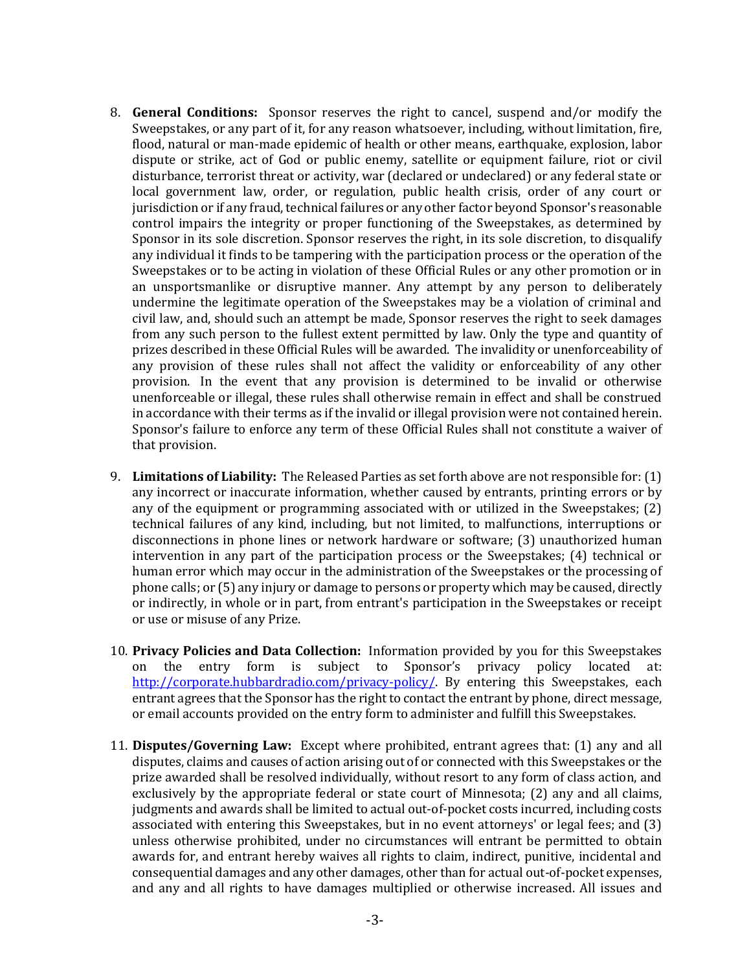- 8. **General Conditions:** Sponsor reserves the right to cancel, suspend and/or modify the Sweepstakes, or any part of it, for any reason whatsoever, including, without limitation, fire, flood, natural or man-made epidemic of health or other means, earthquake, explosion, labor dispute or strike, act of God or public enemy, satellite or equipment failure, riot or civil disturbance, terrorist threat or activity, war (declared or undeclared) or any federal state or local government law, order, or regulation, public health crisis, order of any court or jurisdiction or if any fraud, technical failures or any other factor beyond Sponsor's reasonable control impairs the integrity or proper functioning of the Sweepstakes, as determined by Sponsor in its sole discretion. Sponsor reserves the right, in its sole discretion, to disqualify any individual it finds to be tampering with the participation process or the operation of the Sweepstakes or to be acting in violation of these Official Rules or any other promotion or in an unsportsmanlike or disruptive manner. Any attempt by any person to deliberately undermine the legitimate operation of the Sweepstakes may be a violation of criminal and civil law, and, should such an attempt be made, Sponsor reserves the right to seek damages from any such person to the fullest extent permitted by law. Only the type and quantity of prizes described in these Official Rules will be awarded. The invalidity or unenforceability of any provision of these rules shall not affect the validity or enforceability of any other provision. In the event that any provision is determined to be invalid or otherwise unenforceable or illegal, these rules shall otherwise remain in effect and shall be construed in accordance with their terms as if the invalid or illegal provision were not contained herein. Sponsor's failure to enforce any term of these Official Rules shall not constitute a waiver of that provision.
- 9. **Limitations of Liability:** The Released Parties as set forth above are not responsible for: (1) any incorrect or inaccurate information, whether caused by entrants, printing errors or by any of the equipment or programming associated with or utilized in the Sweepstakes; (2) technical failures of any kind, including, but not limited, to malfunctions, interruptions or disconnections in phone lines or network hardware or software; (3) unauthorized human intervention in any part of the participation process or the Sweepstakes; (4) technical or human error which may occur in the administration of the Sweepstakes or the processing of phone calls; or (5) any injury or damage to persons or property which may be caused, directly or indirectly, in whole or in part, from entrant's participation in the Sweepstakes or receipt or use or misuse of any Prize.
- 10. **Privacy Policies and Data Collection:** Information provided by you for this Sweepstakes on the entry form is subject to Sponsor's privacy policy located at: [http://corporate.hubbardradio.com/privacy-policy/.](http://corporate.hubbardradio.com/privacy-policy/) By entering this Sweepstakes, each entrant agrees that the Sponsor has the right to contact the entrant by phone, direct message, or email accounts provided on the entry form to administer and fulfill this Sweepstakes.
- 11. **Disputes/Governing Law:** Except where prohibited, entrant agrees that: (1) any and all disputes, claims and causes of action arising out of or connected with this Sweepstakes or the prize awarded shall be resolved individually, without resort to any form of class action, and exclusively by the appropriate federal or state court of Minnesota; (2) any and all claims, judgments and awards shall be limited to actual out-of-pocket costs incurred, including costs associated with entering this Sweepstakes, but in no event attorneys' or legal fees; and (3) unless otherwise prohibited, under no circumstances will entrant be permitted to obtain awards for, and entrant hereby waives all rights to claim, indirect, punitive, incidental and consequential damages and any other damages, other than for actual out-of-pocket expenses, and any and all rights to have damages multiplied or otherwise increased. All issues and